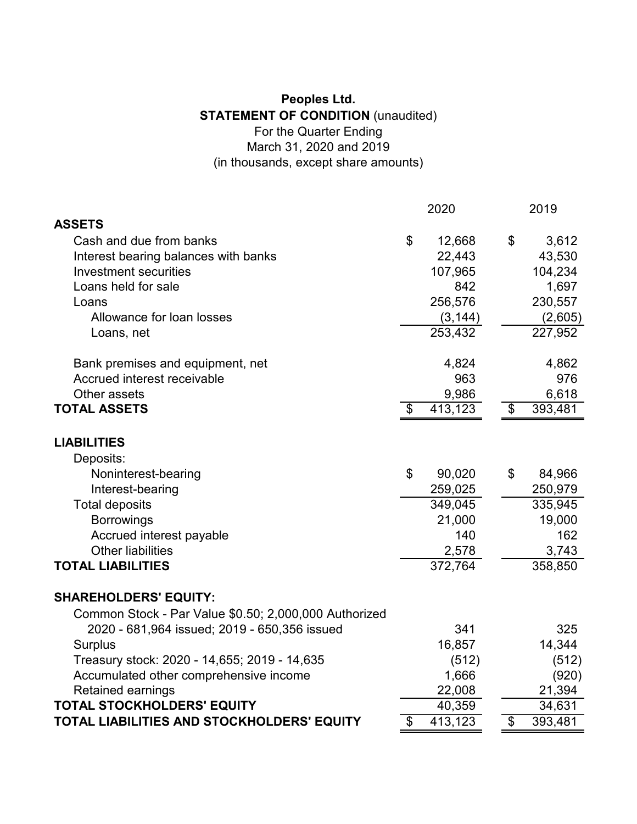## **Peoples Ltd. STATEMENT OF CONDITION** (unaudited) For the Quarter Ending

March 31, 2020 and 2019

(in thousands, except share amounts)

|                                                       | 2020 |          | 2019          |  |
|-------------------------------------------------------|------|----------|---------------|--|
| <b>ASSETS</b>                                         |      |          |               |  |
| Cash and due from banks                               | \$   | 12,668   | \$<br>3,612   |  |
| Interest bearing balances with banks                  |      | 22,443   | 43,530        |  |
| Investment securities                                 |      | 107,965  | 104,234       |  |
| Loans held for sale                                   |      | 842      | 1,697         |  |
| Loans                                                 |      | 256,576  | 230,557       |  |
| Allowance for loan losses                             |      | (3, 144) | (2,605)       |  |
| Loans, net                                            |      | 253,432  | 227,952       |  |
| Bank premises and equipment, net                      |      | 4,824    | 4,862         |  |
| Accrued interest receivable                           |      | 963      | 976           |  |
| Other assets                                          |      | 9,986    | 6,618         |  |
| <b>TOTAL ASSETS</b>                                   | \$   | 413,123  | \$<br>393,481 |  |
| <b>LIABILITIES</b>                                    |      |          |               |  |
| Deposits:                                             |      |          |               |  |
| Noninterest-bearing                                   | \$   | 90,020   | \$<br>84,966  |  |
| Interest-bearing                                      |      | 259,025  | 250,979       |  |
| <b>Total deposits</b>                                 |      | 349,045  | 335,945       |  |
| <b>Borrowings</b>                                     |      | 21,000   | 19,000        |  |
| Accrued interest payable                              |      | 140      | 162           |  |
| <b>Other liabilities</b>                              |      | 2,578    | 3,743         |  |
| <b>TOTAL LIABILITIES</b>                              |      | 372,764  | 358,850       |  |
| <b>SHAREHOLDERS' EQUITY:</b>                          |      |          |               |  |
| Common Stock - Par Value \$0.50; 2,000,000 Authorized |      |          |               |  |
| 2020 - 681,964 issued; 2019 - 650,356 issued          |      | 341      | 325           |  |
| <b>Surplus</b>                                        |      | 16,857   | 14,344        |  |
| Treasury stock: 2020 - 14,655; 2019 - 14,635          |      | (512)    | (512)         |  |
| Accumulated other comprehensive income                |      | 1,666    | (920)         |  |
| Retained earnings                                     |      | 22,008   | 21,394        |  |
| <b>TOTAL STOCKHOLDERS' EQUITY</b>                     |      | 40,359   | 34,631        |  |
| TOTAL LIABILITIES AND STOCKHOLDERS' EQUITY            | \$   | 413,123  | \$<br>393,481 |  |